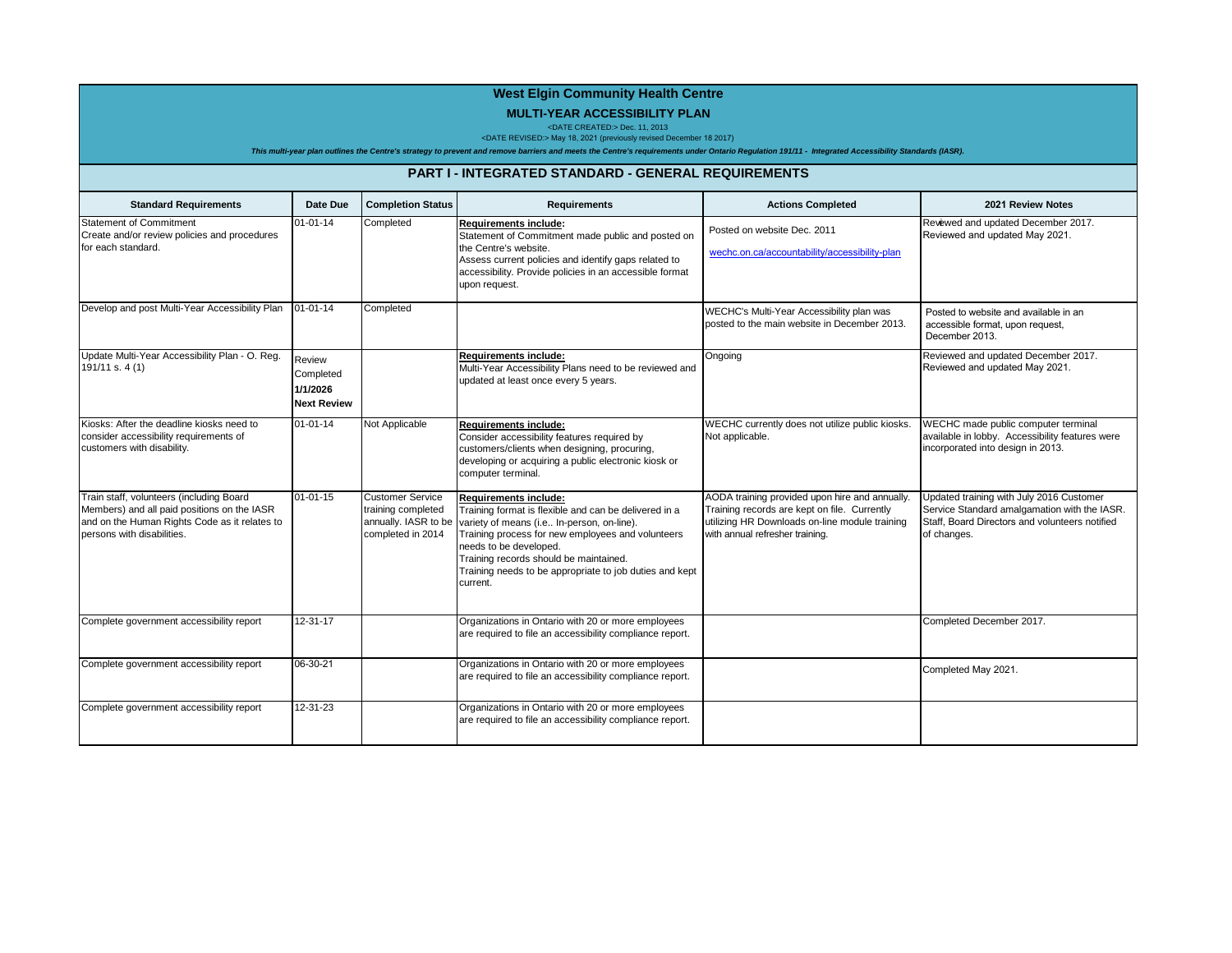## **West Elgin Community Health Centre**

## **MULTI-YEAR ACCESSIBILITY PLAN** <DATE CREATED:> Dec. 11, 2013 <DATE REVISED:> May 18, 2021 (previously revised December 18 2017)

| This multi-year plan outlines the Centre's strategy to prevent and remove barriers and meets the Centre's requirements under Ontario Regulation 191/11 - Integrated Accessibility Standards (IASR). |                                                       |                                                                    |                                                                                                                                                                                                                                                                                                                                                          |                                                                                                                                                                                     |                                                                                                                                                           |
|-----------------------------------------------------------------------------------------------------------------------------------------------------------------------------------------------------|-------------------------------------------------------|--------------------------------------------------------------------|----------------------------------------------------------------------------------------------------------------------------------------------------------------------------------------------------------------------------------------------------------------------------------------------------------------------------------------------------------|-------------------------------------------------------------------------------------------------------------------------------------------------------------------------------------|-----------------------------------------------------------------------------------------------------------------------------------------------------------|
| <b>PART I - INTEGRATED STANDARD - GENERAL REQUIREMENTS</b>                                                                                                                                          |                                                       |                                                                    |                                                                                                                                                                                                                                                                                                                                                          |                                                                                                                                                                                     |                                                                                                                                                           |
| <b>Standard Requirements</b>                                                                                                                                                                        | Date Due                                              | <b>Completion Status</b>                                           | <b>Requirements</b>                                                                                                                                                                                                                                                                                                                                      | <b>Actions Completed</b>                                                                                                                                                            | 2021 Review Notes                                                                                                                                         |
| <b>Statement of Commitment</b><br>Create and/or review policies and procedures<br>for each standard.                                                                                                | $01 - 01 - 14$                                        | Completed                                                          | Requirements include:<br>Statement of Commitment made public and posted on<br>the Centre's website.<br>Assess current policies and identify gaps related to<br>accessibility. Provide policies in an accessible format<br>upon request.                                                                                                                  | Posted on website Dec. 2011<br>wechc.on.ca/accountability/accessibility-plan                                                                                                        | Revewed and updated December 2017.<br>Reviewed and updated May 2021.                                                                                      |
| Develop and post Multi-Year Accessibility Plan                                                                                                                                                      | $01 - 01 - 14$                                        | Completed                                                          |                                                                                                                                                                                                                                                                                                                                                          | WECHC's Multi-Year Accessibility plan was<br>posted to the main website in December 2013.                                                                                           | Posted to website and available in an<br>accessible format, upon request,<br>December 2013.                                                               |
| Update Multi-Year Accessibility Plan - O. Reg.<br>191/11 s. 4 (1)                                                                                                                                   | Review<br>Completed<br>1/1/2026<br><b>Next Review</b> |                                                                    | Reauirements include:<br>Multi-Year Accessibility Plans need to be reviewed and<br>updated at least once every 5 years.                                                                                                                                                                                                                                  | Ongoing                                                                                                                                                                             | Reviewed and updated December 2017.<br>Reviewed and updated May 2021.                                                                                     |
| Kiosks: After the deadline kiosks need to<br>consider accessibility requirements of<br>customers with disability.                                                                                   | $01 - 01 - 14$                                        | Not Applicable                                                     | Requirements include:<br>Consider accessibility features required by<br>customers/clients when designing, procuring,<br>developing or acquiring a public electronic kiosk or<br>computer terminal.                                                                                                                                                       | WECHC currently does not utilize public kiosks.<br>Not applicable.                                                                                                                  | WECHC made public computer terminal<br>available in lobby. Accessibility features were<br>incorporated into design in 2013.                               |
| Train staff, volunteers (including Board<br>Members) and all paid positions on the IASR<br>and on the Human Rights Code as it relates to<br>persons with disabilities.                              | $01 - 01 - 15$                                        | <b>Customer Service</b><br>training completed<br>completed in 2014 | <b>Requirements include:</b><br>Training format is flexible and can be delivered in a<br>annually. IASR to be variety of means (i.e In-person, on-line).<br>Training process for new employees and volunteers<br>needs to be developed.<br>Training records should be maintained.<br>Training needs to be appropriate to job duties and kept<br>current. | AODA training provided upon hire and annually.<br>Training records are kept on file. Currently<br>utilizing HR Downloads on-line module training<br>with annual refresher training. | Updated training with July 2016 Customer<br>Service Standard amalgamation with the IASR.<br>Staff. Board Directors and volunteers notified<br>of changes. |
| Complete government accessibility report                                                                                                                                                            | 12-31-17                                              |                                                                    | Organizations in Ontario with 20 or more employees<br>are required to file an accessibility compliance report.                                                                                                                                                                                                                                           |                                                                                                                                                                                     | Completed December 2017.                                                                                                                                  |
| Complete government accessibility report                                                                                                                                                            | 06-30-21                                              |                                                                    | Organizations in Ontario with 20 or more employees<br>are required to file an accessibility compliance report.                                                                                                                                                                                                                                           |                                                                                                                                                                                     | Completed May 2021.                                                                                                                                       |
| Complete government accessibility report                                                                                                                                                            | 12-31-23                                              |                                                                    | Organizations in Ontario with 20 or more employees<br>are required to file an accessibility compliance report.                                                                                                                                                                                                                                           |                                                                                                                                                                                     |                                                                                                                                                           |

a ka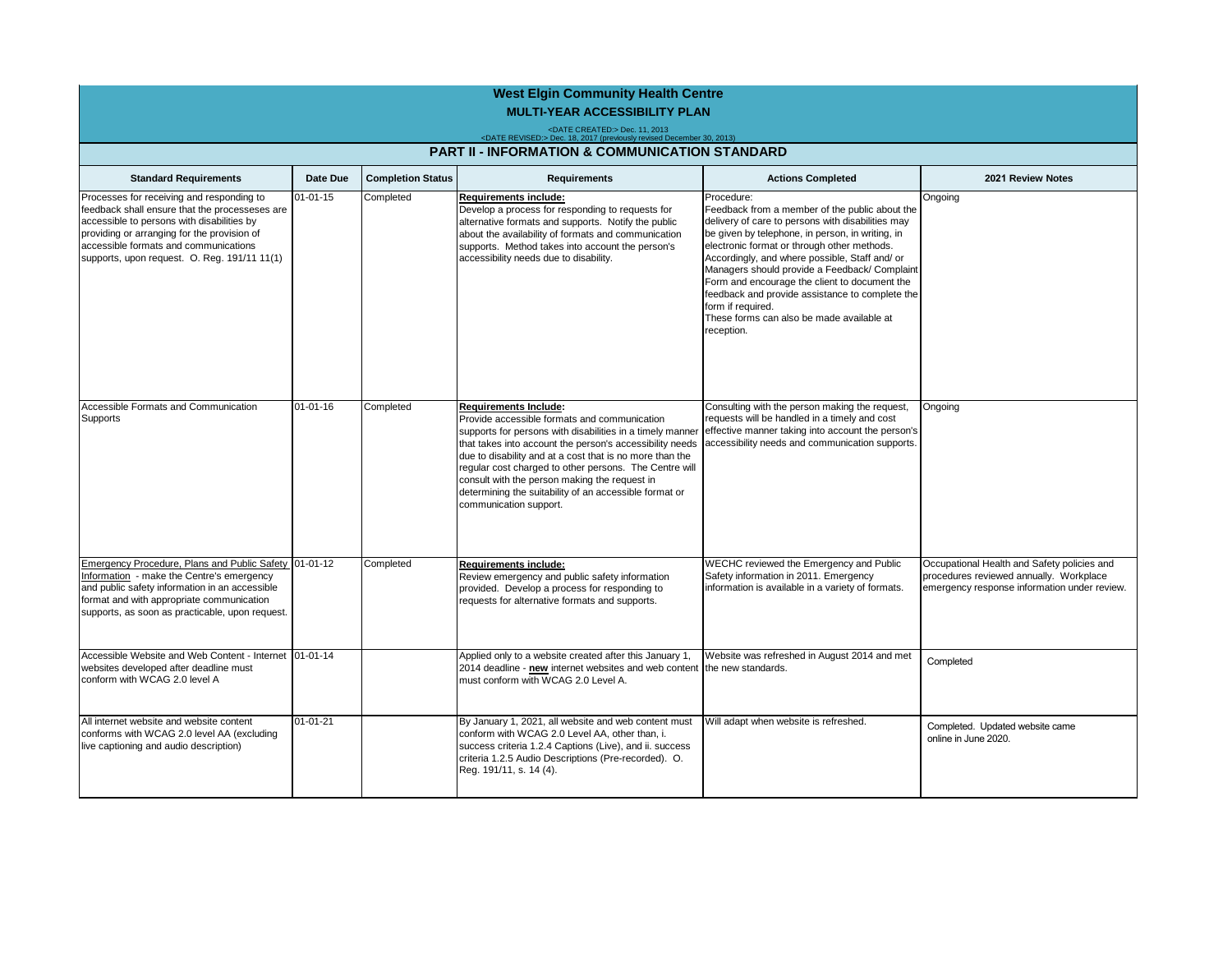| <b>West Elgin Community Health Centre</b>                                                                                                                                                                                                                                         |                |                          |                                                                                                                                                                                                                                                                                                                                                                                                                                                                  |                                                                                                                                                                                                                                                                                                                                                                                                                                                                                                             |                                                                                                                                        |                                                           |
|-----------------------------------------------------------------------------------------------------------------------------------------------------------------------------------------------------------------------------------------------------------------------------------|----------------|--------------------------|------------------------------------------------------------------------------------------------------------------------------------------------------------------------------------------------------------------------------------------------------------------------------------------------------------------------------------------------------------------------------------------------------------------------------------------------------------------|-------------------------------------------------------------------------------------------------------------------------------------------------------------------------------------------------------------------------------------------------------------------------------------------------------------------------------------------------------------------------------------------------------------------------------------------------------------------------------------------------------------|----------------------------------------------------------------------------------------------------------------------------------------|-----------------------------------------------------------|
| <b>MULTI-YEAR ACCESSIBILITY PLAN</b><br><date created:=""> Dec. 11, 2013<br/><date revised:=""> Dec. 18, 2017 (previously revised December 30, 2013)</date></date>                                                                                                                |                |                          |                                                                                                                                                                                                                                                                                                                                                                                                                                                                  |                                                                                                                                                                                                                                                                                                                                                                                                                                                                                                             |                                                                                                                                        |                                                           |
|                                                                                                                                                                                                                                                                                   |                |                          |                                                                                                                                                                                                                                                                                                                                                                                                                                                                  |                                                                                                                                                                                                                                                                                                                                                                                                                                                                                                             |                                                                                                                                        | <b>PART II - INFORMATION &amp; COMMUNICATION STANDARD</b> |
| <b>Standard Requirements</b>                                                                                                                                                                                                                                                      | Date Due       | <b>Completion Status</b> | <b>Requirements</b>                                                                                                                                                                                                                                                                                                                                                                                                                                              | <b>Actions Completed</b>                                                                                                                                                                                                                                                                                                                                                                                                                                                                                    | 2021 Review Notes                                                                                                                      |                                                           |
| Processes for receiving and responding to<br>feedback shall ensure that the processeses are<br>accessible to persons with disabilities by<br>providing or arranging for the provision of<br>accessible formats and communications<br>supports, upon request. O. Reg. 191/11 11(1) | $01 - 01 - 15$ | Completed                | <b>Requirements include:</b><br>Develop a process for responding to requests for<br>alternative formats and supports. Notify the public<br>about the availability of formats and communication<br>supports. Method takes into account the person's<br>accessibility needs due to disability.                                                                                                                                                                     | Procedure:<br>Feedback from a member of the public about the<br>delivery of care to persons with disabilities may<br>be given by telephone, in person, in writing, in<br>electronic format or through other methods.<br>Accordingly, and where possible, Staff and/ or<br>Managers should provide a Feedback/ Complaint<br>Form and encourage the client to document the<br>feedback and provide assistance to complete the<br>form if required.<br>These forms can also be made available at<br>reception. | Ongoing                                                                                                                                |                                                           |
| Accessible Formats and Communication<br>Supports                                                                                                                                                                                                                                  | $01 - 01 - 16$ | Completed                | <b>Requirements Include:</b><br>Provide accessible formats and communication<br>supports for persons with disabilities in a timely manner<br>that takes into account the person's accessibility needs<br>due to disability and at a cost that is no more than the<br>regular cost charged to other persons. The Centre will<br>consult with the person making the request in<br>determining the suitability of an accessible format or<br>communication support. | Consulting with the person making the request,<br>requests will be handled in a timely and cost<br>effective manner taking into account the person's<br>accessibility needs and communication supports.                                                                                                                                                                                                                                                                                                     | Ongoing                                                                                                                                |                                                           |
| Emergency Procedure, Plans and Public Safety 01-01-12<br>Information - make the Centre's emergency<br>and public safety information in an accessible<br>format and with appropriate communication<br>supports, as soon as practicable, upon request.                              |                | Completed                | <b>Requirements include:</b><br>Review emergency and public safety information<br>provided. Develop a process for responding to<br>requests for alternative formats and supports.                                                                                                                                                                                                                                                                                | WECHC reviewed the Emergency and Public<br>Safety information in 2011. Emergency<br>information is available in a variety of formats.                                                                                                                                                                                                                                                                                                                                                                       | Occupational Health and Safety policies and<br>procedures reviewed annually. Workplace<br>emergency response information under review. |                                                           |
| Accessible Website and Web Content - Internet 101-01-14<br>websites developed after deadline must<br>conform with WCAG 2.0 level A                                                                                                                                                |                |                          | Applied only to a website created after this January 1,<br>2014 deadline - new internet websites and web content<br>must conform with WCAG 2.0 Level A.                                                                                                                                                                                                                                                                                                          | Website was refreshed in August 2014 and met<br>the new standards.                                                                                                                                                                                                                                                                                                                                                                                                                                          | Completed                                                                                                                              |                                                           |
| All internet website and website content<br>conforms with WCAG 2.0 level AA (excluding<br>live captioning and audio description)                                                                                                                                                  | $01 - 01 - 21$ |                          | By January 1, 2021, all website and web content must<br>conform with WCAG 2.0 Level AA, other than, i.<br>success criteria 1.2.4 Captions (Live), and ii. success<br>criteria 1.2.5 Audio Descriptions (Pre-recorded). O.<br>Reg. 191/11, s. 14 (4).                                                                                                                                                                                                             | Will adapt when website is refreshed.                                                                                                                                                                                                                                                                                                                                                                                                                                                                       | Completed. Updated website came<br>online in June 2020.                                                                                |                                                           |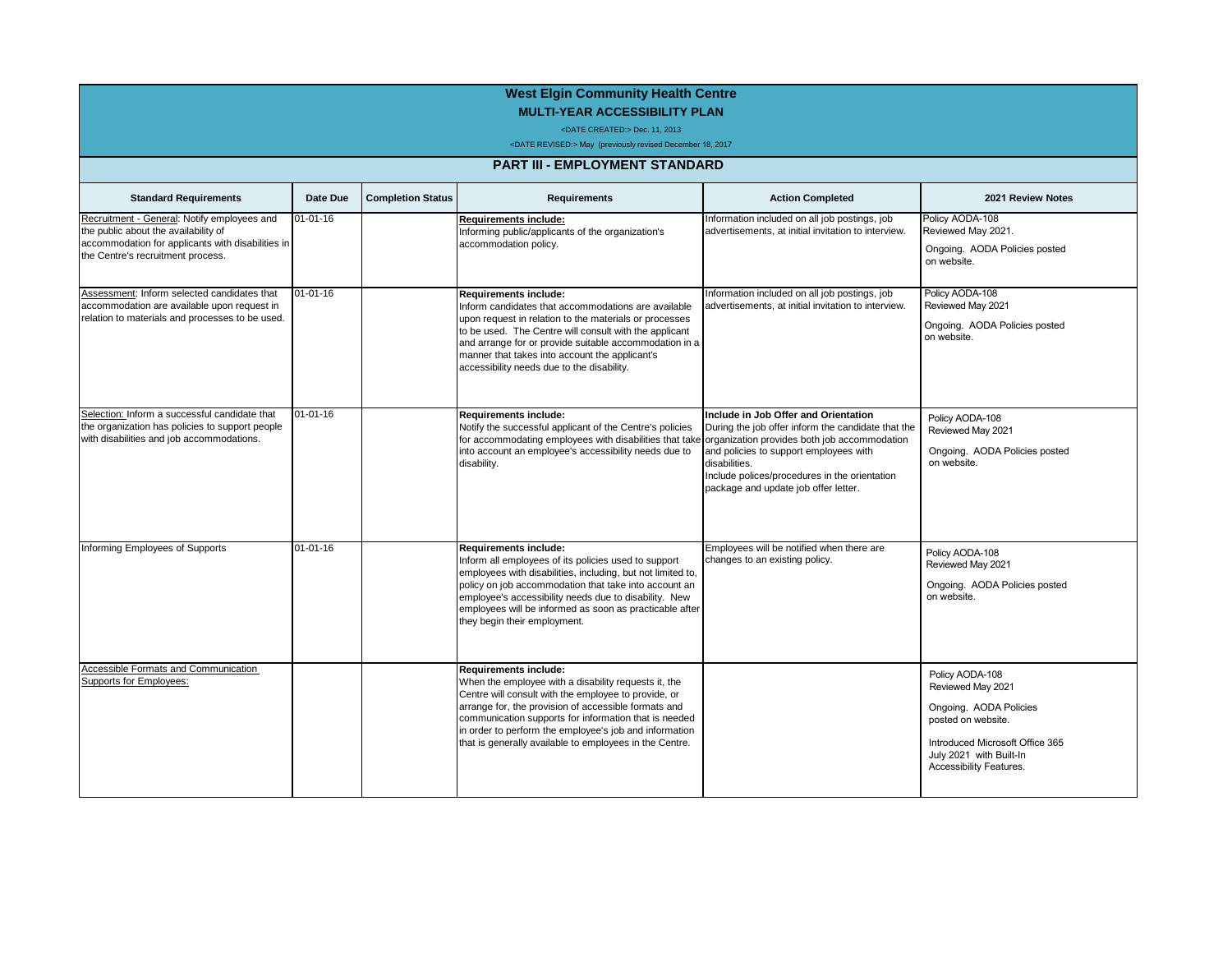## **West Elgin Community Health Centre MULTI-YEAR ACCESSIBILITY PLAN**

<DATE CREATED:> Dec. 11, 2013

<DATE REVISED:> May (previously revised December 18, 2017

## **PART III - EMPLOYMENT STANDARD**

| <b>Standard Requirements</b>                                                                                                                                                  | Date Due       | <b>Completion Status</b> | <b>Requirements</b>                                                                                                                                                                                                                                                                                                                                                                | <b>Action Completed</b>                                                                                                                                                                                                                                                                        | 2021 Review Notes                                                                                                                                                             |
|-------------------------------------------------------------------------------------------------------------------------------------------------------------------------------|----------------|--------------------------|------------------------------------------------------------------------------------------------------------------------------------------------------------------------------------------------------------------------------------------------------------------------------------------------------------------------------------------------------------------------------------|------------------------------------------------------------------------------------------------------------------------------------------------------------------------------------------------------------------------------------------------------------------------------------------------|-------------------------------------------------------------------------------------------------------------------------------------------------------------------------------|
| Recruitment - General: Notify employees and<br>the public about the availability of<br>accommodation for applicants with disabilities in<br>the Centre's recruitment process. | 01-01-16       |                          | <b>Requirements include:</b><br>Informing public/applicants of the organization's<br>accommodation policy.                                                                                                                                                                                                                                                                         | Information included on all job postings, job<br>advertisements, at initial invitation to interview.                                                                                                                                                                                           | Policy AODA-108<br>Reviewed May 2021.<br>Ongoing. AODA Policies posted<br>on website.                                                                                         |
| Assessment: Inform selected candidates that<br>accommodation are available upon request in<br>relation to materials and processes to be used.                                 | $01 - 01 - 16$ |                          | <b>Requirements include:</b><br>Inform candidates that accommodations are available<br>upon request in relation to the materials or processes<br>to be used. The Centre will consult with the applicant<br>and arrange for or provide suitable accommodation in a<br>manner that takes into account the applicant's<br>accessibility needs due to the disability.                  | Information included on all job postings, job<br>advertisements, at initial invitation to interview.                                                                                                                                                                                           | Policy AODA-108<br>Reviewed May 2021<br>Ongoing. AODA Policies posted<br>on website.                                                                                          |
| Selection: Inform a successful candidate that<br>the organization has policies to support people<br>with disabilities and job accommodations.                                 | $01 - 01 - 16$ |                          | Requirements include:<br>Notify the successful applicant of the Centre's policies<br>for accommodating employees with disabilities that take<br>into account an employee's accessibility needs due to<br>disability.                                                                                                                                                               | Include in Job Offer and Orientation<br>During the job offer inform the candidate that the<br>organization provides both job accommodation<br>and policies to support employees with<br>disabilities.<br>Include polices/procedures in the orientation<br>package and update job offer letter. | Policy AODA-108<br>Reviewed May 2021<br>Ongoing. AODA Policies posted<br>on website.                                                                                          |
| Informing Employees of Supports                                                                                                                                               | $01 - 01 - 16$ |                          | <b>Requirements include:</b><br>Inform all employees of its policies used to support<br>employees with disabilities, including, but not limited to,<br>policy on job accommodation that take into account an<br>employee's accessibility needs due to disability. New<br>employees will be informed as soon as practicable after<br>they begin their employment.                   | Employees will be notified when there are<br>changes to an existing policy.                                                                                                                                                                                                                    | Policy AODA-108<br>Reviewed May 2021<br>Ongoing. AODA Policies posted<br>on website.                                                                                          |
| <b>Accessible Formats and Communication</b><br><b>Supports for Employees:</b>                                                                                                 |                |                          | <b>Requirements include:</b><br>When the employee with a disability requests it, the<br>Centre will consult with the employee to provide, or<br>arrange for, the provision of accessible formats and<br>communication supports for information that is needed<br>in order to perform the employee's job and information<br>that is generally available to employees in the Centre. |                                                                                                                                                                                                                                                                                                | Policy AODA-108<br>Reviewed May 2021<br>Ongoing. AODA Policies<br>posted on website.<br>Introduced Microsoft Office 365<br>July 2021 with Built-In<br>Accessibility Features. |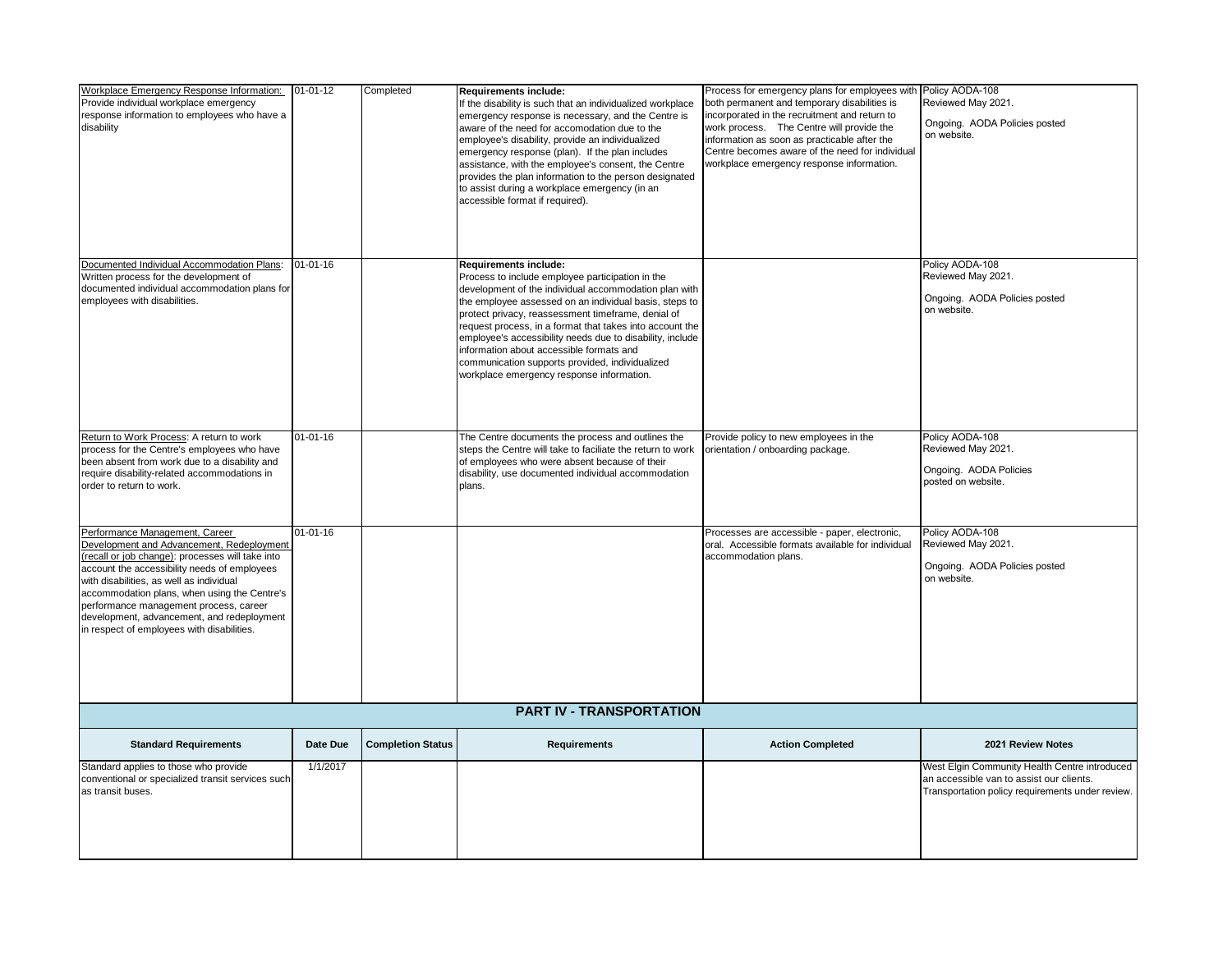| Workplace Emergency Response Information: 01-01-12<br>Provide individual workplace emergency<br>response information to employees who have a<br>disability                                                                                                                                                                                                                                                        |                | Completed                | <b>Requirements include:</b><br>If the disability is such that an individualized workplace<br>emergency response is necessary, and the Centre is<br>aware of the need for accomodation due to the<br>employee's disability, provide an individualized<br>emergency response (plan). If the plan includes<br>assistance, with the employee's consent, the Centre<br>provides the plan information to the person designated<br>to assist during a workplace emergency (in an<br>accessible format if required).                  | Process for emergency plans for employees with Policy AODA-108<br>both permanent and temporary disabilities is<br>incorporated in the recruitment and return to<br>work process. The Centre will provide the<br>information as soon as practicable after the<br>Centre becomes aware of the need for individual<br>workplace emergency response information. | Reviewed May 2021.<br>Ongoing. AODA Policies posted<br>on website.                                                                            |  |
|-------------------------------------------------------------------------------------------------------------------------------------------------------------------------------------------------------------------------------------------------------------------------------------------------------------------------------------------------------------------------------------------------------------------|----------------|--------------------------|--------------------------------------------------------------------------------------------------------------------------------------------------------------------------------------------------------------------------------------------------------------------------------------------------------------------------------------------------------------------------------------------------------------------------------------------------------------------------------------------------------------------------------|--------------------------------------------------------------------------------------------------------------------------------------------------------------------------------------------------------------------------------------------------------------------------------------------------------------------------------------------------------------|-----------------------------------------------------------------------------------------------------------------------------------------------|--|
| Documented Individual Accommodation Plans:<br>Written process for the development of<br>documented individual accommodation plans for<br>employees with disabilities.                                                                                                                                                                                                                                             | $01 - 01 - 16$ |                          | <b>Requirements include:</b><br>Process to include employee participation in the<br>development of the individual accommodation plan with<br>the employee assessed on an individual basis, steps to<br>protect privacy, reassessment timeframe, denial of<br>request process, in a format that takes into account the<br>employee's accessibility needs due to disability, include<br>information about accessible formats and<br>communication supports provided, individualized<br>workplace emergency response information. |                                                                                                                                                                                                                                                                                                                                                              | Policy AODA-108<br>Reviewed May 2021.<br>Ongoing. AODA Policies posted<br>on website.                                                         |  |
| Return to Work Process: A return to work<br>process for the Centre's employees who have<br>been absent from work due to a disability and<br>require disability-related accommodations in<br>order to return to work.                                                                                                                                                                                              | $01 - 01 - 16$ |                          | The Centre documents the process and outlines the<br>steps the Centre will take to faciliate the return to work<br>of employees who were absent because of their<br>disability, use documented individual accommodation<br>plans.                                                                                                                                                                                                                                                                                              | Provide policy to new employees in the<br>orientation / onboarding package.                                                                                                                                                                                                                                                                                  | Policy AODA-108<br>Reviewed May 2021.<br>Ongoing. AODA Policies<br>posted on website.                                                         |  |
| Performance Management, Career<br>Development and Advancement, Redeployment<br>(recall or job change): processes will take into<br>account the accessibility needs of employees<br>with disabilities, as well as individual<br>accommodation plans, when using the Centre's<br>performance management process, career<br>development, advancement, and redeployment<br>in respect of employees with disabilities. | $01 - 01 - 16$ |                          |                                                                                                                                                                                                                                                                                                                                                                                                                                                                                                                                | Processes are accessible - paper, electronic,<br>oral. Accessible formats available for individual<br>accommodation plans.                                                                                                                                                                                                                                   | Policy AODA-108<br>Reviewed May 2021.<br>Ongoing. AODA Policies posted<br>on website.                                                         |  |
| <b>PART IV - TRANSPORTATION</b>                                                                                                                                                                                                                                                                                                                                                                                   |                |                          |                                                                                                                                                                                                                                                                                                                                                                                                                                                                                                                                |                                                                                                                                                                                                                                                                                                                                                              |                                                                                                                                               |  |
| <b>Standard Requirements</b>                                                                                                                                                                                                                                                                                                                                                                                      | Date Due       | <b>Completion Status</b> | <b>Requirements</b>                                                                                                                                                                                                                                                                                                                                                                                                                                                                                                            | <b>Action Completed</b>                                                                                                                                                                                                                                                                                                                                      | 2021 Review Notes                                                                                                                             |  |
| Standard applies to those who provide<br>conventional or specialized transit services such<br>as transit buses.                                                                                                                                                                                                                                                                                                   | 1/1/2017       |                          |                                                                                                                                                                                                                                                                                                                                                                                                                                                                                                                                |                                                                                                                                                                                                                                                                                                                                                              | West Elgin Community Health Centre introduced<br>an accessible van to assist our clients.<br>Transportation policy requirements under review. |  |